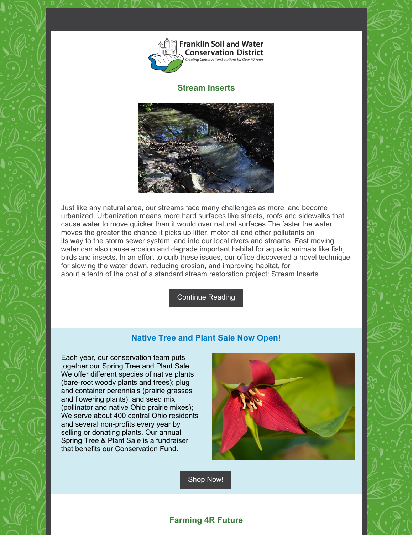

### **Stream Inserts**



Just like any natural area, our streams face many challenges as more land become urbanized. Urbanization means more hard surfaces like streets, roofs and sidewalks that cause water to move quicker than it would over natural surfaces.The faster the water moves the greater the chance it picks up litter, motor oil and other pollutants on its way to the storm sewer system, and into our local rivers and streams. Fast moving water can also cause erosion and degrade important habitat for aquatic animals like fish, birds and insects. In an effort to curb these issues, our office discovered a novel technique for slowing the water down, reducing erosion, and improving habitat, for about a tenth of the cost of a standard stream restoration project: Stream Inserts.

[Continue](https://www.franklinswcd.org/willow-brook) Reading

## **Native Tree and Plant Sale Now Open!**

Each year, our conservation team puts together our Spring Tree and Plant Sale. We offer different species of native plants (bare-root woody plants and trees); plug and container perennials (prairie grasses and flowering plants); and seed mix (pollinator and native Ohio prairie mixes); We serve about 400 central Ohio residents and several non-profits every year by selling or donating plants. Our annual Spring Tree & Plant Sale is a fundraiser that benefits our Conservation Fund.



[Shop](https://www.franklinswcd.org/products/category/tree-and-plant-sale) Now!

# **Farming 4R Future**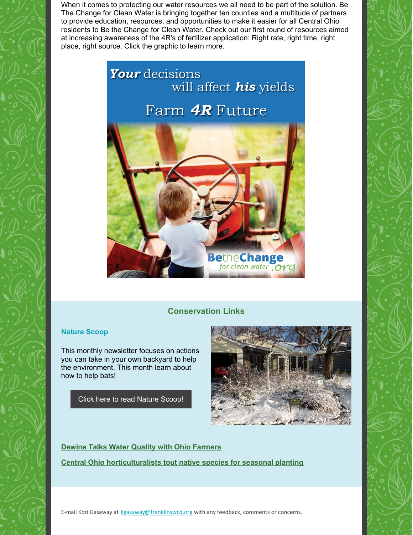When it comes to protecting our water resources we all need to be part of the solution. Be The Change for Clean Water is bringing together ten counties and a multitude of partners to provide education, resources, and opportunities to make it easier for all Central Ohio residents to Be the Change for Clean Water. Check out our first round of resources aimed at increasing awareness of the 4R's of fertilizer application: Right rate, right time, right place, right source. Click the graphic to learn more.



## **Conservation Links**

### **Nature Scoop**

This monthly newsletter focuses on actions you can take in your own backyard to help the environment. This month learn about how to help bats!

Click here to read Nature [Scoop!](https://mailchi.mp/9093fe1a9706/nature-scoop-february-2020)



**Dewine Talks Water Quality with Ohio [Farmers](https://www.wksu.org/post/dewine-talks-water-quality-ohio-farmers#stream/0)**

**Central Ohio [horticulturalists](https://www.thisweeknews.com/news/20200215/central-ohio-horticulturalists-tout-native-species-for-seasonal-planting) tout native species for seasonal planting**

E-mail Kori Gasaway at [kgasaway@franklinswcd.org](mailto:kgasaway@franklinswcd.org) with any feedback, comments or concerns.